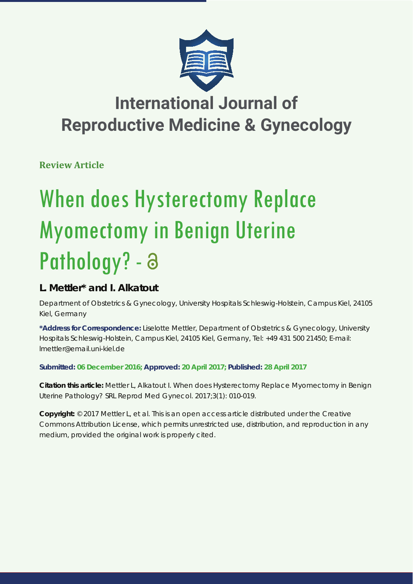

**Review Article**

# When does Hysterectomy Replace Myomectomy in Benign Uterine Pathology? - a

# **L. Mettler\* and I. Alkatout**

*Department of Obstetrics & Gynecology, University Hospitals Schleswig-Holstein, Campus Kiel, 24105 Kiel, Germany*

**\*Address for Correspondence:** Liselotte Mettler, Department of Obstetrics & Gynecology, University Hospitals Schleswig-Holstein, Campus Kiel, 24105 Kiel, Germany, Tel: +49 431 500 21450; E-mail: lmettler@email.uni-kiel.de

**Submitted: 06 December 2016; Approved: 20 April 2017; Published: 28 April 2017**

**Citation this article:** Mettler L, Alkatout I. When does Hysterectomy Replace Myomectomy in Benign Uterine Pathology? SRL Reprod Med Gynecol. 2017;3(1): 010-019.

**Copyright:** © 2017 Mettler L, et al. This is an open access article distributed under the Creative Commons Attribution License, which permits unrestricted use, distribution, and reproduction in any medium, provided the original work is properly cited.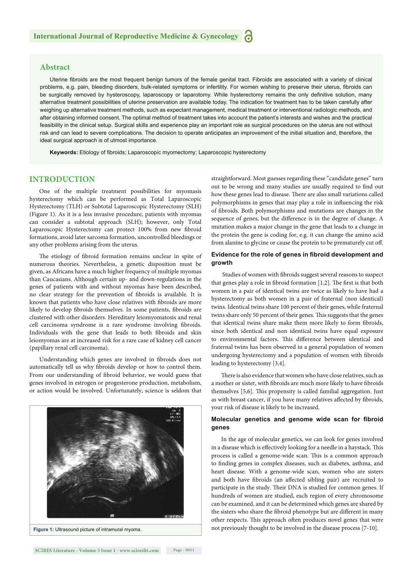# **Abstract**

Uterine fibroids are the most frequent benign tumors of the female genital tract. Fibroids are associated with a variety of clinical problems, e.g. pain, bleeding disorders, bulk-related symptoms or infertility. For women wishing to preserve their uterus, fibroids can be surgically removed by hysteroscopy, laparoscopy or laparotomy. While hysterectomy remains the only definitive solution, many alternative treatment possibilities of uterine preservation are available today. The indication for treatment has to be taken carefully after weighing up alternative treatment methods, such as expectant management, medical treatment or interventional radiologic methods, and after obtaining informed consent. The optimal method of treatment takes into account the patient's interests and wishes and the practical feasibility in the clinical setup. Surgical skills and experience play an important role as surgical procedures on the uterus are not without risk and can lead to severe complications. The decision to operate anticipates an improvement of the initial situation and, therefore, the ideal surgical approach is of utmost importance.

Keywords: Etiology of fibroids; Laparoscopic myomectomy; Laparoscopic hysterectomy

# **INTRODUCTION**

One of the multiple treatment possibilities for myomasis hysterectomy which can be performed as Total Laparoscopic Hysterectomy (TLH) or Subtotal Laparoscopic Hysterectomy (SLH) (Figure 1). As it is a less invasive procedure, patients with myomas can consider a subtotal approach (SLH); however, only Total Laparoscopic Hysterectomy can protect 100% from new fibroid formations, avoid later sarcoma formation, uncontrolled bleedings or any other problems arising from the uterus.

The etiology of fibroid formation remains unclear in spite of numerous theories. Nevertheless, a genetic disposition must be given, as Africans have a much higher frequency of multiple myomas than Caucasians. Although certain up- and down-regulations in the genes of patients with and without myomas have been described, no clear strategy for the prevention of fibroids is available. It is known that patients who have close relatives with fibroids are more likely to develop fibroids themselves. In some patients, fibroids are clustered with other disorders. Hereditary leiomyomatosis and renal cell carcinoma syndrome is a rare syndrome involving fibroids. Individuals with the gene that leads to both fibroids and skin leiomyomas are at increased risk for a rare case of kidney cell cancer (papillary renal cell carcinoma).

Understanding which genes are involved in fibroids does not automatically tell us why fibroids develop or how to control them. From our understanding of fibroid behavior, we would guess that genes involved in estrogen or progesterone production, metabolism, or action would be involved. Unfortunately, science is seldom that





straightforward. Most guesses regarding these "candidate genes" turn out to be wrong and many studies are usually required to find out how these genes lead to disease. There are also small variations called polymorphisms in genes that may play a role in influencing the risk of fibroids. Both polymorphisms and mutations are changes in the sequence of genes, but the difference is in the degree of change. A mutation makes a major change in the gene that leads to a change in the protein the gene is coding for, e.g. it can change the amino acid from alanine to glycine or cause the protein to be prematurely cut off.

# Evidence for the role of genes in fibroid development and **growth**

Studies of women with fibroids suggest several reasons to suspect that genes play a role in fibroid formation [1,2]. The first is that both women in a pair of identical twins are twice as likely to have had a hysterectomy as both women in a pair of fraternal (non identical) twins. Identical twins share 100 percent of their genes, while fraternal twins share only 50 percent of their genes. This suggests that the genes that identical twins share make them more likely to form fibroids, since both identical and non identical twins have equal exposure to environmental factors. This difference between identical and fraternal twins has been observed in a general population of women undergoing hysterectomy and a population of women with fibroids leading to hysterectomy [3,4].

There is also evidence that women who have close relatives, such as a mother or sister, with fibroids are much more likely to have fibroids themselves [5,6]. This propensity is called familial aggregation. Just as with breast cancer, if you have many relatives affected by fibroids, your risk of disease is likely to be increased.

# **Molecular genetics and genome wide scan for fibroid genes**

In the age of molecular genetics, we can look for genes involved in a disease which is effectively looking for a needle in a haystack. This process is called a genome-wide scan. This is a common approach to finding genes in complex diseases, such as diabetes, asthma, and heart disease. With a genome-wide scan, women who are sisters and both have fibroids (an affected sibling pair) are recruited to participate in the study. Their DNA is studied for common genes. If hundreds of women are studied, each region of every chromosome can be examined, and it can be determined which genes are shared by the sisters who share the fibroid phenotype but are different in many other respects. This approach often produces novel genes that were not previously thought to be involved in the disease process [7-10].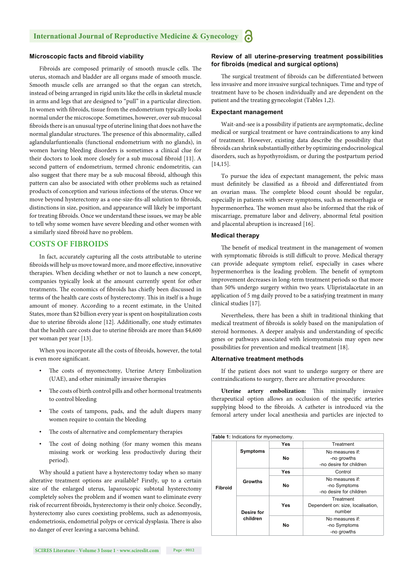# **Microscopic facts and fibroid viability**

Fibroids are composed primarily of smooth muscle cells. The uterus, stomach and bladder are all organs made of smooth muscle. Smooth muscle cells are arranged so that the organ can stretch, instead of being arranged in rigid units like the cells in skeletal muscle in arms and legs that are designed to "pull" in a particular direction. In women with fibroids, tissue from the endometrium typically looks normal under the microscope. Sometimes, however, over sub mucosal fibroids there is an unusual type of uterine lining that does not have the normal glandular structures. The presence of this abnormality, called aglandularfuntionalis (functional endometrium with no glands), in women having bleeding disorders is sometimes a clinical clue for their doctors to look more closely for a sub mucosal fibroid [11]. A second pattern of endometrium, termed chronic endometritis, can also suggest that there may be a sub mucosal fibroid, although this pattern can also be associated with other problems such as retained products of conception and various infections of the uterus. Once we move beyond hysterectomy as a one-size-fits-all solution to fibroids, distinctions in size, position, and appearance will likely be important for treating fibroids. Once we understand these issues, we may be able to tell why some women have severe bleeding and other women with a similarly sized fibroid have no problem.

# **COSTS OF FIBROIDS**

In fact, accurately capturing all the costs attributable to uterine fibroids will help us move toward more, and more effective, innovative therapies. When deciding whether or not to launch a new concept, companies typically look at the amount currently spent for other treatments. The economics of fibroids has chiefly been discussed in terms of the health care costs of hysterectomy. This in itself is a huge amount of money. According to a recent estimate, in the United States, more than \$2 billion every year is spent on hospitalization costs due to uterine fibroids alone [12]. Additionally, one study estimates that the health care costs due to uterine fibroids are more than \$4,600 per woman per year [13].

When you incorporate all the costs of fibroids, however, the total is even more significant.

- The costs of myomectomy, Uterine Artery Embolization (UAE), and other minimally invasive therapies
- The costs of birth control pills and other hormonal treatments to control bleeding
- The costs of tampons, pads, and the adult diapers many women require to contain the bleeding
- The costs of alternative and complementary therapies
- The cost of doing nothing (for many women this means missing work or working less productively during their period).

Why should a patient have a hysterectomy today when so many alterative treatment options are available? Firstly, up to a certain size of the enlarged uterus, laparoscopic subtotal hysterectomy completely solves the problem and if women want to eliminate every risk of recurrent fibroids, hysterectomy is their only choice. Secondly, hysterectomy also cures coexisting problems, such as adenomyosis, endometriosis, endometrial polyps or cervical dysplasia. There is also no danger of ever leaving a sarcoma behind.

# **Review of all uterine-preserving treatment possibilities for fi broids (medical and surgical options)**

The surgical treatment of fibroids can be differentiated between less invasive and more invasive surgical techniques. Time and type of treatment have to be chosen individually and are dependent on the patient and the treating gynecologist (Tables 1,2).

#### **Expectant management**

Wait-and-see is a possibility if patients are asymptomatic, decline medical or surgical treatment or have contraindications to any kind of treatment. However, existing data describe the possibility that fibroids can shrink substantially either by optimizing endocrinological disorders, such as hypothyroidism, or during the postpartum period [14,15].

To pursue the idea of expectant management, the pelvic mass must definitely be classified as a fibroid and differentiated from an ovarian mass. The complete blood count should be regular, especially in patients with severe symptoms, such as menorrhagia or hypermenorrhea. The women must also be informed that the risk of miscarriage, premature labor and delivery, abnormal fetal position and placental abruption is increased [16].

#### **Medical therapy**

The benefit of medical treatment in the management of women with symptomatic fibroids is still difficult to prove. Medical therapy can provide adequate symptom relief, especially in cases where hypermenorrhea is the leading problem. The benefit of symptom improvement decreases in long-term treatment periods so that more than 50% undergo surgery within two years. Ulipristalacetate in an application of 5 mg daily proved to be a satisfying treatment in many clinical studies [17].

Nevertheless, there has been a shift in traditional thinking that medical treatment of fibroids is solely based on the manipulation of steroid hormones. A deeper analysis and understanding of specific genes or pathways associated with leiomyomatosis may open new possibilities for prevention and medical treatment [18].

#### **Alternative treatment methods**

If the patient does not want to undergo surgery or there are contraindications to surgery, there are alternative procedures:

**Uterine artery embolization:** This minimally invasive therapeutical option allows an occlusion of the specific arteries supplying blood to the fibroids. A catheter is introduced via the femoral artery under local anesthesia and particles are injected to

|                | Table 1: Indications for myomectomy. |            |                                                            |  |  |  |
|----------------|--------------------------------------|------------|------------------------------------------------------------|--|--|--|
| <b>Fibroid</b> | <b>Symptoms</b>                      | Yes        | Treatment                                                  |  |  |  |
|                |                                      | No         | No measures if:<br>-no growths                             |  |  |  |
|                |                                      |            | -no desire for children                                    |  |  |  |
|                | Growths                              | <b>Yes</b> | Control                                                    |  |  |  |
|                |                                      | No         | No measures if:<br>-no Symptoms<br>-no desire for children |  |  |  |
|                | Desire for<br>children               | Yes        | Treatment<br>Dependent on: size, localisation,<br>number   |  |  |  |
|                |                                      | No         | No measures if:<br>-no Symptoms<br>-no growths             |  |  |  |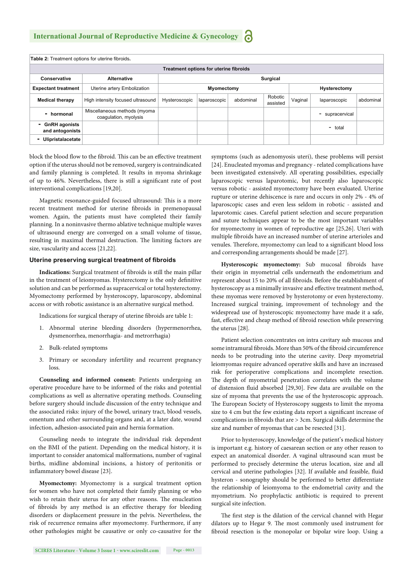| <b>Table 2:</b> Treatment options for uterine fibroids. |                                                       |                 |              |           |                     |              |                    |           |  |  |  |
|---------------------------------------------------------|-------------------------------------------------------|-----------------|--------------|-----------|---------------------|--------------|--------------------|-----------|--|--|--|
| <b>Treatment options for uterine fibroids</b>           |                                                       |                 |              |           |                     |              |                    |           |  |  |  |
| Conservative                                            | <b>Alternative</b>                                    | <b>Surgical</b> |              |           |                     |              |                    |           |  |  |  |
| <b>Expectant treatment</b>                              | Uterine artery Embolization                           | Myomectomy      |              |           |                     | Hysterectomy |                    |           |  |  |  |
| <b>Medical therapy</b>                                  | High intensity focused ultrasound                     | Hysteroscopic   | laparoscopic | abdominal | Robotic<br>assisted | Vaginal      | laparoscopic       | abdominal |  |  |  |
| - hormonal                                              | Miscellaneous methods (myoma<br>coagulation, myolysis |                 |              |           |                     |              | supracervical<br>- |           |  |  |  |
| <b>GnRH</b> agonists<br>۰.<br>and antogonists           |                                                       |                 |              |           |                     |              | total<br>-         |           |  |  |  |
| Ulipristalacetate<br>۰.                                 |                                                       |                 |              |           |                     |              |                    |           |  |  |  |

block the blood flow to the fibroid. This can be an effective treatment option if the uterus should not be removed, surgery is contraindicated and family planning is completed. It results in myoma shrinkage of up to 46%. Nevertheless, there is still a significant rate of post interventional complications [19,20].

Magnetic resonance-guided focused ultrasound: This is a more recent treatment method for uterine fibroids in premenopausal women. Again, the patients must have completed their family planning. In a noninvasive thermo ablative technique multiple waves of ultrasound energy are converged on a small volume of tissue, resulting in maximal thermal destruction. The limiting factors are size, vascularity and access [21,22].

#### **Uterine preserving surgical treatment of fibroids**

Indications: Surgical treatment of fibroids is still the main pillar in the treatment of leiomyomas. Hysterectomy is the only definitive solution and can be performed as supracervical or total hysterectomy. Myomectomy performed by hysteroscopy, laparoscopy, abdominal access or with robotic assistance is an alternative surgical method.

Indications for surgical therapy of uterine fibroids are table 1:

- 1. Abnormal uterine bleeding disorders (hypermenorrhea, dysmenorrhea, menorrhagia- and metrorrhagia)
- 2. Bulk-related symptoms
- 3. Primary or secondary infertility and recurrent pregnancy loss.

**Counseling and informed consent:** Patients undergoing an operative procedure have to be informed of the risks and potential complications as well as alternative operating methods. Counseling before surgery should include discussion of the entry technique and the associated risks: injury of the bowel, urinary tract, blood vessels, omentum and other surrounding organs and, at a later date, wound infection, adhesion-associated pain and hernia formation.

Counseling needs to integrate the individual risk dependent on the BMI of the patient. Depending on the medical history, it is important to consider anatomical malformations, number of vaginal births, midline abdominal incisions, a history of peritonitis or inflammatory bowel disease [23].

**Myomectomy:** Myomectomy is a surgical treatment option for women who have not completed their family planning or who wish to retain their uterus for any other reasons. The enucleation of fibroids by any method is an effective therapy for bleeding disorders or displacement pressure in the pelvis. Nevertheless, the risk of recurrence remains after myomectomy. Furthermore, if any other pathologies might be causative or only co-causative for the

symptoms (such as adenomyosis uteri), these problems will persist [24]. Enucleated myomas and pregnancy - related complications have been investigated extensively. All operating possibilities, especially laparoscopic versus laparotomic, but recently also laparoscopic versus robotic - assisted myomectomy have been evaluated. Uterine rupture or uterine dehiscence is rare and occurs in only 2% - 4% of laparoscopic cases and even less seldom in robotic - assisted and laparotomic cases. Careful patient selection and secure preparation and suture techniques appear to be the most important variables for myomectomy in women of reproductive age [25,26]. Uteri with multiple fibroids have an increased number of uterine arterioles and venules. Therefore, myomectomy can lead to a significant blood loss and corresponding arrangements should be made [27].

Hysteroscopic myomectomy: Sub mucosal fibroids have their origin in myometrial cells underneath the endometrium and represent about 15 to 20% of all fibroids. Before the establishment of hysteroscopy as a minimally invasive and effective treatment method, these myomas were removed by hysterotomy or even hysterectomy. Increased surgical training, improvement of technology and the widespread use of hysteroscopic myomectomy have made it a safe, fast, effective and cheap method of fibroid resection while preserving the uterus [28].

Patient selection concentrates on intra cavitary sub mucous and some intramural fibroids. More than 50% of the fibroid circumference needs to be protruding into the uterine cavity. Deep myometrial leiomyomas require advanced operative skills and have an increased risk for perioperative complications and incomplete resection. The depth of myometrial penetration correlates with the volume of distension fluid absorbed [29,30]. Few data are available on the size of myoma that prevents the use of the hysteroscopic approach. The European Society of Hysteroscopy suggests to limit the myoma size to 4 cm but the few existing data report a significant increase of complications in fibroids that are > 3cm. Surgical skills determine the size and number of myomas that can be resected [31].

Prior to hysteroscopy, knowledge of the patient's medical history is important e.g. history of caesarean section or any other reason to expect an anatomical disorder. A vaginal ultrasound scan must be performed to precisely determine the uterus location, size and all cervical and uterine pathologies [32]. If available and feasible, fluid hysteron - sonography should be performed to better differentiate the relationship of leiomyoma to the endometrial cavity and the myometrium. No prophylactic antibiotic is required to prevent surgical site infection.

The first step is the dilation of the cervical channel with Hegar dilators up to Hegar 9. The most commonly used instrument for fibroid resection is the monopolar or bipolar wire loop. Using a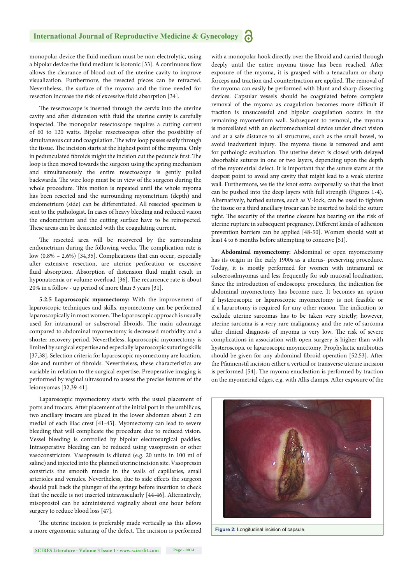monopolar device the fluid medium must be non-electrolytic, using a bipolar device the fluid medium is isotonic [33]. A continuous flow allows the clearance of blood out of the uterine cavity to improve visualization. Furthermore, the resected pieces can be retracted. Nevertheless, the surface of the myoma and the time needed for resection increase the risk of excessive fluid absorption [34].

The resectoscope is inserted through the cervix into the uterine cavity and after distension with fluid the uterine cavity is carefully inspected. The monopolar resectoscope requires a cutting current of 60 to 120 watts. Bipolar resectoscopes offer the possibility of simultaneous cut and coagulation. The wire loop passes easily through the tissue. The incision starts at the highest point of the myoma. Only in pedunculated fibroids might the incision cut the peduncle first. The loop is then moved towards the surgeon using the spring mechanism and simultaneously the entire resectoscope is gently pulled backwards. The wire loop must be in view of the surgeon during the whole procedure. This motion is repeated until the whole myoma has been resected and the surrounding myometrium (depth) and endometrium (side) can be differentiated. All resected specimen is sent to the pathologist. In cases of heavy bleeding and reduced vision the endometrium and the cutting surface have to be reinspected. These areas can be desiccated with the coagulating current.

The resected area will be recovered by the surrounding endometrium during the following weeks. The complication rate is low (0.8% – 2.6%) [34,35]. Complications that can occur, especially after extensive resection, are uterine perforation or excessive fluid absorption. Absorption of distension fluid might result in hyponatremia or volume overload [36]. The recurrence rate is about 20% in a follow - up period of more than 3 years [31].

**5.2.5 Laparoscopic myomectomy:** With the improvement of laparoscopic techniques and skills, myomectomy can be performed laparoscopically in most women. The laparoscopic approach is usually used for intramural or subserosal fibroids. The main advantage compared to abdominal myomectomy is decreased morbidity and a shorter recovery period. Nevertheless, laparoscopic myomectomy is limited by surgical expertise and especially laparoscopic suturing skills [37,38]. Selection criteria for laparoscopic myomectomy are location, size and number of fibroids. Nevertheless, these characteristics are variable in relation to the surgical expertise. Preoperative imaging is performed by vaginal ultrasound to assess the precise features of the leiomyomas [32,39-41].

Laparoscopic myomectomy starts with the usual placement of ports and trocars. After placement of the initial port in the umbilicus, two ancillary trocars are placed in the lower abdomen about 2 cm medial of each iliac crest [41-43]. Myomectomy can lead to severe bleeding that will complicate the procedure due to reduced vision. Vessel bleeding is controlled by bipolar electrosurgical paddles. Intraoperative bleeding can be reduced using vasopressin or other vasoconstrictors. Vasopressin is diluted (e.g. 20 units in 100 ml of saline) and injected into the planned uterine incision site. Vasopressin constricts the smooth muscle in the walls of capillaries, small arterioles and venules. Nevertheless, due to side effects the surgeon should pull back the plunger of the syringe before insertion to check that the needle is not inserted intravascularly [44-46]. Alternatively, misoprostol can be administered vaginally about one hour before surgery to reduce blood loss [47].

The uterine incision is preferably made vertically as this allows a more ergonomic suturing of the defect. The incision is performed

with a monopolar hook directly over the fibroid and carried through deeply until the entire myoma tissue has been reached. After exposure of the myoma, it is grasped with a tenaculum or sharp forceps and traction and countertraction are applied. The removal of the myoma can easily be performed with blunt and sharp dissecting devices. Capsular vessels should be coagulated before complete removal of the myoma as coagulation becomes more difficult if traction is unsuccessful and bipolar coagulation occurs in the remaining myometrium wall. Subsequent to removal, the myoma is morcellated with an electromechanical device under direct vision and at a safe distance to all structures, such as the small bowel, to avoid inadvertent injury. The myoma tissue is removed and sent for pathologic evaluation. The uterine defect is closed with delayed absorbable sutures in one or two layers, depending upon the depth of the myometrial defect. It is important that the suture starts at the deepest point to avoid any cavity that might lead to a weak uterine wall. Furthermore, we tie the knot extra corporeally so that the knot can be pushed into the deep layers with full strength (Figures 1-4). Alternatively, barbed sutures, such as V-lock, can be used to tighten the tissue or a third ancillary trocar can be inserted to hold the suture tight. The security of the uterine closure has bearing on the risk of uterine rupture in subsequent pregnancy. Different kinds of adhesion prevention barriers can be applied [48-50]. Women should wait at least 4 to 6 months before attempting to conceive [51].

**Abdominal myomectomy:** Abdominal or open myomectomy has its origin in the early 1900s as a uterus- preserving procedure. Today, it is mostly performed for women with intramural or subserosalmyomas and less frequently for sub mucosal localization. Since the introduction of endoscopic procedures, the indication for abdominal myomectomy has become rare. It becomes an option if hysteroscopic or laparoscopic myomectomy is not feasible or if a laparotomy is required for any other reason. The indication to exclude uterine sarcomas has to be taken very strictly; however, uterine sarcoma is a very rare malignancy and the rate of sarcoma after clinical diagnosis of myoma is very low. The risk of severe complications in association with open surgery is higher than with hysteroscopic or laparoscopic moymectomy. Prophylactic antibiotics should be given for any abdominal fibroid operation [52,53]. After the Pfannenstil incision either a vertical or transverse uterine incision is performed [54]. The myoma enucleation is performed by traction on the myometrial edges, e.g. with Allis clamps. After exposure of the



**Figure 2:** Longitudinal incision of capsule.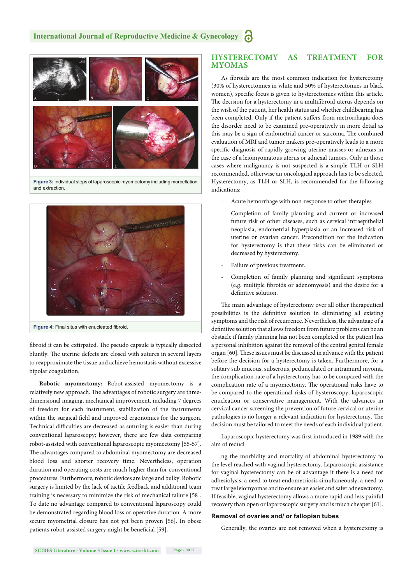

**Figure 3:** Individual steps of laparoscopic myomectomy including morcellation and extraction.



fibroid it can be extirpated. The pseudo capsule is typically dissected bluntly. The uterine defects are closed with sutures in several layers to reapproximate the tissue and achieve hemostasis without excessive bipolar coagulation.

**Robotic myomectomy:** Robot-assisted myomectomy is a relatively new approach. The advantages of robotic surgery are threedimensional imaging, mechanical improvement, including 7 degrees of freedom for each instrument, stabilization of the instruments within the surgical field and improved ergonomics for the surgeon. Technical difficulties are decreased as suturing is easier than during conventional laparoscopy; however, there are few data comparing robot-assisted with conventional laparoscopic myomectomy [55-57]. The advantages compared to abdominal myomectomy are decreased blood loss and shorter recovery time. Nevertheless, operation duration and operating costs are much higher than for conventional procedures. Furthermore, robotic devices are large and bulky. Robotic surgery is limited by the lack of tactile feedback and additional team training is necessary to minimize the risk of mechanical failure [58]. To date no advantage compared to conventional laparoscopy could be demonstrated regarding blood loss or operative duration. A more secure myometrial closure has not yet been proven [56]. In obese patients robot-assisted surgery might be beneficial [59].

# **HYSTERECTOMY AS TREATMENT FOR MYOMAS**

As fibroids are the most common indication for hysterectomy (30% of hysterectomies in white and 50% of hysterectomies in black women), specific focus is given to hysterectomies within this article. The decision for a hysterectomy in a multifibroid uterus depends on the wish of the patient, her health status and whether childbearing has been completed. Only if the patient suffers from metrorrhagia does the disorder need to be examined pre-operatively in more detail as this may be a sign of endometrial cancer or sarcoma. The combined evaluation of MRI and tumor makers pre-operatively leads to a more specific diagnosis of rapidly growing uterine masses or adnexas in the case of a leiomyomatous uterus or adnexal tumors. Only in those cases where malignancy is not suspected is a simple TLH or SLH recommended, otherwise an oncological approach has to be selected. Hysterectomy, as TLH or SLH, is recommended for the following indications:

- Acute hemorrhage with non-response to other therapies
- Completion of family planning and current or increased future risk of other diseases, such as cervical intraepithelial neoplasia, endometrial hyperplasia or an increased risk of uterine or ovarian cancer. Precondition for the indication for hysterectomy is that these risks can be eliminated or decreased by hysterectomy.
- Failure of previous treatment.
- Completion of family planning and significant symptoms (e.g. multiple fibroids or adenomyosis) and the desire for a definitive solution.

The main advantage of hysterectomy over all other therapeutical possibilities is the definitive solution in eliminating all existing symptoms and the risk of recurrence. Nevertheless, the advantage of a definitive solution that allows freedom from future problems can be an obstacle if family planning has not been completed or the patient has a personal inhibition against the removal of the central genital female organ [60]. These issues must be discussed in advance with the patient before the decision for a hysterectomy is taken. Furthermore, for a solitary sub mucous, subserous, pedunculated or intramural myoma, the complication rate of a hysterectomy has to be compared with the complication rate of a myomectomy. The operational risks have to be compared to the operational risks of hysteroscopy, laparoscopic enucleation or conservative management. With the advances in cervical cancer screening the prevention of future cervical or uterine pathologies is no longer a relevant indication for hysterectomy. The decision must be tailored to meet the needs of each individual patient.

Laparoscopic hysterectomy was first introduced in 1989 with the aim of reduci

ng the morbidity and mortality of abdominal hysterectomy to the level reached with vaginal hysterectomy. Laparoscopic assistance for vaginal hysterectomy can be of advantage if there is a need for adhesiolysis, a need to treat endometriosis simultaneously, a need to treat large leiomyomas and to ensure an easier and safer adnexectomy. If feasible, vaginal hysterectomy allows a more rapid and less painful recovery than open or laparoscopic surgery and is much cheaper [61].

# **Removal of ovaries and/ or fallopian tubes**

Generally, the ovaries are not removed when a hysterectomy is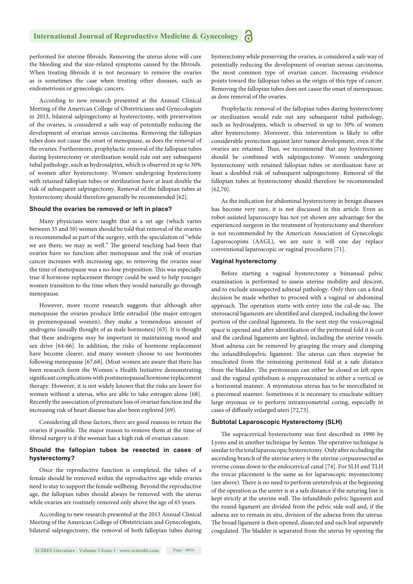performed for uterine fibroids. Removing the uterus alone will cure the bleeding and the size-related symptoms caused by the fibroids. When treating fibroids it is not necessary to remove the ovaries as is sometimes the case when treating other diseases, such as endometriosis or gynecologic cancers.

According to new research presented at the Annual Clinical Meeting of the American College of Obstetricians and Gynecologists in 2013, bilateral salpingectomy at hysterectomy, with preservation of the ovaries, is considered a safe way of potentially reducing the development of ovarian serous carcinoma. Removing the fallopian tubes does not cause the onset of menopause, as does the removal of the ovaries. Furthermore, prophylactic removal of the fallopian tubes during hysterectomy or sterilization would rule out any subsequent tubal pathology, such as hydrosalpinx, which is observed in up to 30% of women after hysterectomy. Women undergoing hysterectomy with retained fallopian tubes or sterilization have at least double the risk of subsequent salpingectomy. Removal of the fallopian tubes at hysterectomy should therefore generally be recommended [62].

#### **Should the ovaries be removed or left in place?**

Many physicians were taught that at a set age (which varies between 35 and 50) women should be told that removal of the ovaries is recommended as part of the surgery, with the speculation of "while we are there, we may as well." The general teaching had been that ovaries have no function after menopause and the risk of ovarian cancer increases with increasing age, so removing the ovaries near the time of menopause was a no-lose proposition. This was especially true if hormone replacement therapy could be used to help younger women transition to the time when they would naturally go through menopause.

However, more recent research suggests that although after menopause the ovaries produce little estradiol (the major estrogen in premenopausal women), they make a tremendous amount of androgens (usually thought of as male hormones) [63]. It is thought that these androgens may be important in maintaining mood and sex drive [64-66]. In addition, the risks of hormone replacement have become clearer, and many women choose to use hormones following menopause [67,68]. (Most women are aware that there has been research form the Women`s Health Initiative demonstrating significant complications with postmenopausal hormone replacement therapy. However, it is not widely known that the risks are lower for women without a uterus, who are able to take estrogen alone [68]. Recently the association of premature loss of ovarian function and the increasing risk of heart disease has also been explored [69].

Considering all these factors, there are good reasons to retain the ovaries if possible. The major reason to remove them at the time of fibroid surgery is if the woman has a high risk of ovarian cancer.

## **Should the fallopian tubes be resected in cases of hysterectomy?**

Once the reproductive function is completed, the tubes of a female should be removed within the reproductive age while ovaries need to stay to support the female wellbeing. Beyond the reproductive age, the fallopian tubes should always be removed with the uterus while ovaries are routinely removed only above the age of 65 years.

According to new research presented at the 2013 Annual Clinical Meeting of the American College of Obstetricians and Gynecologists, bilateral salpingectomy, the removal of both fallopian tubes during hysterectomy while preserving the ovaries, is considered a safe way of potentially reducing the development of ovarian serous carcinoma, the most common type of ovarian cancer. Increasing evidence points toward the fallopian tubes as the origin of this type of cancer. Removing the fallopian tubes does not cause the onset of menopause, as does removal of the ovaries.

Prophylactic removal of the fallopian tubes during hysterectomy or sterilization would rule out any subsequent tubal pathology, such as hydrosalpinx, which is observed in up to 30% of women after hysterectomy. Moreover, this intervention is likely to offer considerable protection against later tumor development, even if the ovaries are retained. Thus, we recommend that any hysterectomy should be combined with salpingectomy. Women undergoing hysterectomy with retained fallopian tubes or sterilisation have at least a doubled risk of subsequent salpingectomy. Removal of the fallopian tubes at hysterectomy should therefore be recommended [62,70].

As the indication for abdominal hysterectomy in benign diseases has become very rare, it is not discussed in this article. Even as robot-assisted laparoscopy has not yet shown any advantage for the experienced surgeon in the treatment of hysterectomy and therefore is not recommended by the American Association of Gynecologic Laparoscopists (AAGL), we are sure it will one day replace conventional laparoscopic or vaginal procedures [71].

## **Vaginal hysterectomy**

Before starting a vaginal hysterectomy a bimanual pelvic examination is performed to assess uterine mobility and descent, and to exclude unsuspected adnexal pathology. Only then can a final decision be made whether to proceed with a vaginal or abdominal approach. The operation starts with entry into the cul-de-sac. The uterosacral ligaments are identified and clamped, including the lower portion of the cardinal ligaments. In the next step the vesicovaginal space is opened and after identification of the peritoneal fold it is cut and the cardinal ligaments are lighted, including the uterine vessels. Most adnexa can be removed by grasping the ovary and clamping the infundibulopelvic ligament. The uterus can then stepwise be enucleated from the remaining peritoneal fold at a safe distance from the bladder. The peritoneum can either be closed or left open and the vaginal epithelium is reapproximated in either a vertical or a horizontal manner. A myomatous uterus has to be morcellated in a piecemeal manner. Sometimes it is necessary to enucleate solitary large myomas or to perform intramyometrial coring, especially in cases of diffusely enlarged uteri [72,73].

#### **Subtotal Laparoscopic Hysterectomy (SLH)**

The supracervical hysterectomy was first described in 1990 by Lyons and in another technique by Semm. The operative technique is similar to the total laparoscopic hysterectomy. Only after occluding the ascending branch of the uterine artery is the uterine corpusresected as reverse conus down to the endocervical canal [74]. For SLH and TLH the trocar placement is the same as for laparoscopic myomectomy (see above). There is no need to perform ureterolysis at the beginning of the operation as the ureter is at a safe distance if the suturing line is kept strictly at the uterine wall. The infundibulo pelvic ligament and the round ligament are divided from the pelvic side wall and, if the adnexa are to remain in situ, division of the adnexa from the uterus. The broad ligament is then opened, dissected and each leaf separately coagulated. The bladder is separated from the uterus by opening the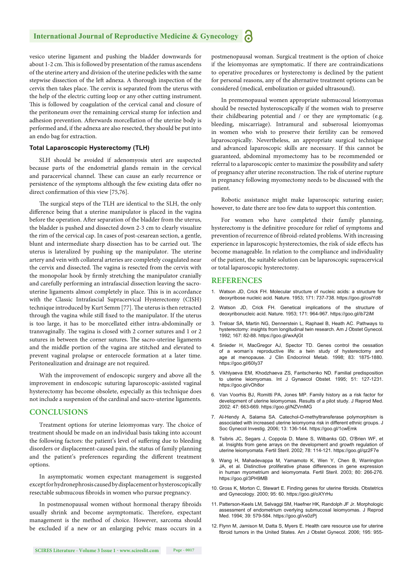vesico uterine ligament and pushing the bladder downwards for about 1-2 cm. This is followed by presentation of the ramus ascendens of the uterine artery and division of the uterine pedicles with the same stepwise dissection of the left adnexa. A thorough inspection of the cervix then takes place. The cervix is separated from the uterus with the help of the electric cutting loop or any other cutting instrument. This is followed by coagulation of the cervical canal and closure of the peritoneum over the remaining cervical stump for infection and adhesion prevention. Afterwards morcellation of the uterine body is performed and, if the adnexa are also resected, they should be put into an endo bag for extraction.

## **Total Laparoscopic Hysterectomy (TLH)**

SLH should be avoided if adenomyosis uteri are suspected because parts of the endometrial glands remain in the cervical and paracervical channel. These can cause an early recurrence or persistence of the symptoms although the few existing data offer no direct confirmation of this view [75,76].

The surgical steps of the TLH are identical to the SLH, the only difference being that a uterine manipulator is placed in the vagina before the operation. After separation of the bladder from the uterus, the bladder is pushed and dissected down 2-3 cm to clearly visualize the rim of the cervical cap. In cases of post-cesarean section, a gentle, blunt and intermediate sharp dissection has to be carried out. The uterus is lateralized by pushing up the manipulator. The uterine artery and vein with collateral arteries are completely coagulated near the cervix and dissected. The vagina is resected from the cervix with the monopolar hook by firmly stretching the manipulator cranially and carefully performing an intrafascial dissection leaving the sacrouterine ligaments almost completely in place. This is in accordance with the Classic Intrafascial Supracervical Hysterectomy (CISH) technique introduced by Kurt Semm [77]. The uterus is then retracted through the vagina while still fixed to the manipulator. If the uterus is too large, it has to be morcellated either intra-abdominally or transvaginally. The vagina is closed with 2 corner sutures and 1 or 2 sutures in between the corner sutures. The sacro-uterine ligaments and the middle portion of the vagina are stitched and elevated to prevent vaginal prolapse or enterocele formation at a later time. Peritonealization and drainage are not required.

With the improvement of endoscopic surgery and above all the improvement in endoscopic suturing laparoscopic-assisted vaginal hysterectomy has become obsolete, especially as this technique does not include a suspension of the cardinal and sacro-uterine ligaments.

# **CONCLUSIONS**

Treatment options for uterine leiomyomas vary. The choice of treatment should be made on an individual basis taking into account the following factors: the patient's level of suffering due to bleeding disorders or displacement-caused pain, the status of family planning and the patient's preferences regarding the different treatment options.

In asymptomatic women expectant management is suggested except for hydronephrosis caused by displacement or hysteroscopically resectable submucous fibroids in women who pursue pregnancy.

In postmenopausal women without hormonal therapy fibroids usually shrink and become asymptomatic. Therefore, expectant management is the method of choice. However, sarcoma should be excluded if a new or an enlarging pelvic mass occurs in a

In premenopausal women appropriate submucosal leiomyomas should be resected hysteroscopically if the women wish to preserve their childbearing potential and / or they are symptomatic (e.g. bleeding, miscarriage). Intramural and subserosal leiomyomas in women who wish to preserve their fertility can be removed laparoscopically. Nevertheless, an appropriate surgical technique and advanced laparoscopic skills are necessary. If this cannot be guaranteed, abdominal myomectomy has to be recommended or referral to a laparoscopic center to maximize the possibility and safety of pregnancy after uterine reconstruction. The risk of uterine rupture in pregnancy following myomectomy needs to be discussed with the patient.

Robotic assistance might make laparoscopic suturing easier; however, to date there are too few data to support this contention.

For women who have completed their family planning, hysterectomy is the definitive procedure for relief of symptoms and prevention of recurrence of fibroid-related problems. With increasing experience in laparoscopic hysterectomies, the risk of side effects has become manageable. In relation to the compliance and individuality of the patient, the suitable solution can be laparoscopic supracervical or total laparoscopic hysterectomy.

#### **REFERENCES**

- 1. Watson JD, Crick FH. Molecular structure of nucleic acids: a structure for deoxyribose nucleic acid. Nature. 1953; 171: 737-738. https://goo.gl/osiYd8
- 2. Watson JD, Crick FH. Genetical implications of the structure of deoxyribonucleic acid. Nature. 1953; 171: 964-967. https://goo.gl/ib72iM
- 3. Treloar SA, Martin NG, Dennerstein L, Raphael B, Heath AC. Pathways to hysterectomy: insights from longitudinal twin research. Am J Obstet Gynecol. 1992; 167: 82-88. https://goo.gl/wxAjGt
- 4. Snieder H, MacGregor AJ, Spector TD. Genes control the cessation of a woman's reproductive life: a twin study of hysterectomy and age at menopause. J Clin Endocrinol Metab. 1998; 83: 1875-1880. https://goo.gl/60Iy37
- 5. Vikhlyaeva EM, Khodzhaeva ZS, Fantschenko ND. Familial predisposition to uterine leiomyomas. Int J Gynaecol Obstet. 1995; 51: 127-1231. https://goo.gl/vOh8or
- 6. Van Voorhis BJ, Romitti PA, Jones MP. Family history as a risk factor for development of uterine leiomyomas. Results of a pilot study. J Reprod Med. 2002: 47: 663-669. https://goo.gl/NZVmMG
- 7. Al-Hendy A, Salama SA. Catechol-O-methyltransferase polymorphism is associated with increased uterine leiomyoma risk in different ethnic groups. J Soc Gynecol Investig. 2006; 13: 136-144. https://goo.gl/1cwEmk
- 8. Tsibris JC, Segars J, Coppola D, Mane S, Wilbanks GD, O'Brien WF, et al. Insights from gene arrays on the development and growth regulation of uterine leiomyomata. Fertil Steril. 2002; 78: 114-121. https://goo.gl/qz2F7e
- 9. Wang H, Mahadevappa M, Yamamoto K, Wen Y, Chen B, Warrington JA, et al. Distinctive proliferative phase differences in gene expression in human myometrium and leiomyomata. Fertil Steril. 2003; 80: 266-276. https://goo.gl/3PH9MB
- 10. Gross K, Morton C, Stewart E. Finding genes for uterine fibroids. Obstetrics and Gynecology. 2000; 95: 60. https://goo.gl/oXYrHu
- 11. Patterson-Keels LM, Selvaggi SM, Haefner HK, Randolph JF Jr. Morphologic assessment of endometrium overlying submucosal leiomyomas. J Reprod Med. 1994; 39: 579-584. https://goo.gl/vs0zPj
- 12. Flynn M, Jamison M, Datta S, Myers E. Health care resource use for uterine fibroid tumors in the United States. Am J Obstet Gynecol. 2006; 195: 955-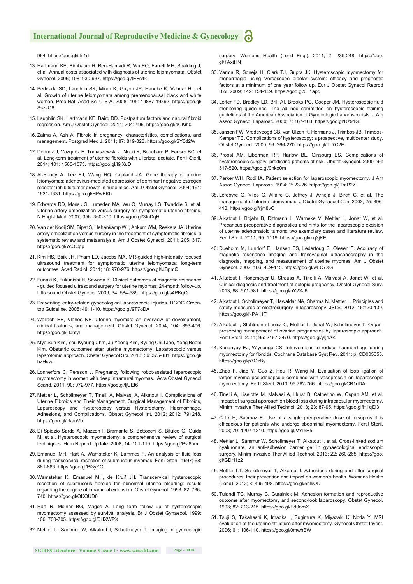964. https://goo.gl/itln1d

- 13. Hartmann KE, Birnbaum H, Ben-Hamadi R, Wu EQ, Farrell MH, Spalding J, et al. Annual costs associated with diagnosis of uterine leiomyomata. Obstet Gynecol. 2006; 108: 930-937. https://goo.gl/tEFc4k
- 14. Peddada SD, Laughlin SK, Miner K, Guyon JP, Haneke K, Vahdat HL, et al. Growth of uterine leiomyomata among premenopausal black and white women. Proc Natl Acad Sci U S A. 2008; 105: 19887-19892. https://goo.gl/ SszvQ6
- 15. Laughlin SK, Hartmann KE, Baird DD. Postpartum factors and natural fibroid regression. Am J Obstet Gynecol. 2011; 204: 496. https://goo.gl/dCKih0
- 16. Zaima A, Ash A. Fibroid in pregnancy: characteristics, complications, and management. Postgrad Med J. 2011; 87: 819-828. https://goo.gl/SY3d2W
- 17. Donnez J, Vazquez F, Tomaszewski J, Nouri K, Bouchard P, Fauser BC, et al. Long-term treatment of uterine fibroids with ulipristal acetate. Fertil Steril. 2014; 101: 1565-1573. https://goo.gl/I9jXuD
- 18. Al-Hendy A, Lee EJ, Wang HQ, Copland JA. Gene therapy of uterine leiomyomas: adenovirus-mediated expression of dominant negative estrogen receptor inhibits tumor growth in nude mice. Am J Obstet Gynecol. 2004; 191: 1621-1631. https://goo.gl/HPwEKh
- 19. Edwards RD, Moss JG, Lumsden MA, Wu O, Murray LS, Twaddle S, et al. Uterine-artery embolization versus surgery for symptomatic uterine fibroids. N Engl J Med. 2007; 356: 360-370. https://goo.gl/3IoDqH
- 20. Van der Kooij SM, Bipat S, Hehenkamp WJ, Ankum WM, Reekers JA. Uterine artery embolization versus surgery in the treatment of symptomatic fibroids: a systematic review and metaanalysis. Am J Obstet Gynecol. 2011; 205: 317. https://goo.gl/7cQCpp
- 21. Kim HS, Baik JH, Pham LD, Jacobs MA. MR-guided high-intensity focused ultrasound treatment for symptomatic uterine leiomyomata: long-term outcomes. Acad Radiol. 2011; 18: 970-976. https://goo.gl/lJBpmQ
- 22. Funaki K, Fukunishi H, Sawada K. Clinical outcomes of magnetic resonance - guided focused ultrasound surgery for uterine myomas: 24-month follow-up. Ultrasound Obstet Gynecol. 2009; 34: 584-589. https://goo.gl/s4PKqQ
- 23. Preventing entry-related gynecological laparoscopic injuries. RCOG Greentop Guideline. 2008; 49: 1-10. https://goo.gl/9T7oDA
- 24. Wallach EE, Vlahos NF. Uterine myomas: an overview of development, clinical features, and management. Obstet Gynecol. 2004; 104: 393-406. https://goo.gl/HJhfyl
- 25. Myo Sun Kim, You Kyoung Uhm, Ju Yeong Kim, Byung Chul Jee, Yong Beom Kim. Obstetric outcomes after uterine myomectomy: Laparoscopic versus laparotomic approach. Obstet Gynecol Sci. 2013; 56: 375-381. https://goo.gl/ hzHsvu
- 26. Lonnerfors C, Persson J. Pregnancy following robot-assisted laparoscopic myomectomy in women with deep intramural myomas. Acta Obstet Gynecol Scand. 2011; 90: 972-977. https://goo.gl/ljUEt6
- 27. Mettler L, Schollmeyer T, Tinelli A, Malvasi A, Alkatout I. Complications of Uterine Fibroids and Their Management, Surgical Management of Fibroids, Laparoscopy and Hysteroscopy versus Hysterectomy, Haemorrhage, Adhesions, and Complications. Obstet Gynecol Int. 2012; 2012: 791248. https://goo.gl/bkanVb
- 28. Di Spiezio Sardo A, Mazzon I, Bramante S, Bettocchi S, Bifulco G, Guida M, et al. Hysteroscopic myomectomy: a comprehensive review of surgical techniques. Hum Reprod Update. 2008; 14: 101-119. https://goo.gl/Pvi8bm
- 29. Emanuel MH, Hart A, Wamsteker K, Lammes F, An analysis of fluid loss during transcervical resection of submucous myomas. Fertil Steril. 1997; 68: 881-886. https://goo.gl/Pi3yYO
- 30. Wamsteker K, Emanuel MH, de Kruif JH. Transcervical hysteroscopic resection of submucous fibroids for abnormal uterine bleeding: results regarding the degree of intramural extension. Obstet Gynecol. 1993; 82: 736- 740. https://goo.gl/OKOUD6
- 31. Hart R, Molnár BG, Magos A. Long term follow up of hysteroscopic myomectomy assessed by survival analysis. Br J Obstet Gynaecol. 1999; 106: 700-705. https://goo.gl/0HXWPX
- 32. Mettler L, Sammur W, Alkatout I, Schollmeyer T. Imaging in gynecologic

surgery. Womens Health (Lond Engl). 2011; 7: 239-248. https://goo. gl/1AxtHN

- 33. Varma R, Soneja H, Clark TJ, Gupta JK. Hysteroscopic myomectomy for menorrhagia using Versascope bipolar system: efficacy and prognostic factors at a minimum of one year follow up. Eur J Obstet Gynecol Reprod Biol. 2009; 142: 154-159. https://goo.gl/0T1apq
- 34. Loffer FD, Bradley LD, Brill AI, Brooks PG, Cooper JM. Hysteroscopic fluid monitoring guidelines. The ad hoc committee on hysteroscopic training guidelines of the American Association of Gynecologic Laparoscopists. J Am Assoc Gynecol Laparosc. 2000; 7: 167-168. https://goo.gl/Rz91GI
- 35. Jansen FW, Vredevoogd CB, van Ulzen K, Hermans J, Trimbos JB, Trimbos-Kemper TC. Complications of hysteroscopy: a prospective, multicenter study. Obstet Gynecol. 2000; 96: 266-270. https://goo.gl/TL7C2E
- 36. Propst AM, Liberman RF, Harlow BL, Ginsburg ES. Complications of hysteroscopic surgery: predicting patients at risk. Obstet Gynecol. 2000; 96: 517-520. https://goo.gl/0nko0m
- 37. Parker WH, Rodi IA. Patient selection for laparoscopic myomectomy. J Am Assoc Gynecol Laparosc. 1994; 2: 23-26. https://goo.gl/jTmP2Z
- 38. Lefebvre G, Vilos G, Allaire C, Jeffrey J, Arneja J, Birch C, et al. The management of uterine leiomyomas. J Obstet Gynaecol Can. 2003; 25: 396- 418. https://goo.gl/rjm8vO
- 39. Alkatout I, Bojahr B, Dittmann L, Warneke V, Mettler L, Jonat W, et al. Precarious preoperative diagnostics and hints for the laparoscopic excision of uterine adenomatoid tumors: two exemplary cases and literature review. Fertil Steril. 2011; 95: 1119. https://goo.gl/mq3jKE
- 40. Dueholm M, Lundorf E, Hansen ES, Ledertoug S, Olesen F. Accuracy of magnetic resonance imaging and transvaginal ultrasonography in the diagnosis, mapping, and measurement of uterine myomas. Am J Obstet Gynecol. 2002; 186: 409-415. https://goo.gl/wLC7XG
- 41. Alkatout I, Honemeyer U, Strauss A, Tinelli A, Malvasi A, Jonat W, et al. Clinical diagnosis and treatment of ectopic pregnancy. Obstet Gynecol Surv. 2013; 68: 571-581. https://goo.gl/nY2XJ6
- 42. Alkatout I, Schollmeyer T, Hawaldar NA, Sharma N, Mettler L. Principles and safety measures of electrosurgery in laparoscopy. JSLS. 2012; 16:130-139. https://goo.gl/NPA11T
- 43. Alkatout I, Stuhlmann-Laeisz C, Mettler L, Jonat W, Schollmeyer T. Organpreserving management of ovarian pregnancies by laparoscopic approach. Fertil Steril. 2011; 95: 2467-2470. https://goo.gl/yIj1AK
- 44. Kongnyuy EJ, Wiysonge CS. Interventions to reduce haemorrhage during myomectomy for fibroids. Cochrane Database Syst Rev. 2011: p. CD005355. https://goo.gl/p7QzBy
- 45. Zhao F, Jiao Y, Guo Z, Hou R, Wang M. Evaluation of loop ligation of larger myoma pseudocapsule combined with vasopressin on laparoscopic myomectomy. Fertil Steril. 2010; 95:762-766. https://goo.gl/CB1dDA
- 46. Tinelli A, Liselotte M, Malvasi A, Hurst B, Catherino W, Ospan AM, et al. Impact of surgical approach on blood loss during intracapsular myomectomy. Minim Invasive Ther Allied Technol. 2013; 23: 87-95. https://goo.gl/H1qEI3
- 47. Celik H, Sapmaz E. Use of a single preoperative dose of misoprostol is efficacious for patients who undergo abdominal myomectomy. Fertil Steril. 2003; 79: 1207-1210. https://goo.gl/VYI5E5
- 48. Mettler L, Sammur W, Schollmeyer T, Alkatout I, et al. Cross-linked sodium hyaluronate, an anti-adhesion barrier gel in gynaecological endoscopic surgery. Minim Invasive Ther Allied Technol. 2013; 22: 260-265. https://goo. gl/GDH1z2
- 49. Mettler LT. Schollmeyer T, Alkatout I. Adhesions during and after surgical procedures, their prevention and impact on women's health. Womens Health (Lond). 2012; 8: 495-498. https://goo.gl/5hlkOD
- 50. Tulandi TC, Murray C, Guralnick M. Adhesion formation and reproductive outcome after myomectomy and second-look laparoscopy. Obstet Gynecol. 1993; 82: 213-215. https://goo.gl/Ed0omX
- 51. Tsuji S, Takahashi K, Imaoka I, Sugimura K, Miyazaki K, Noda Y. MRI evaluation of the uterine structure after myomectomy. Gynecol Obstet Invest. 2006; 61: 106-110. https://goo.gl/0mwhBW